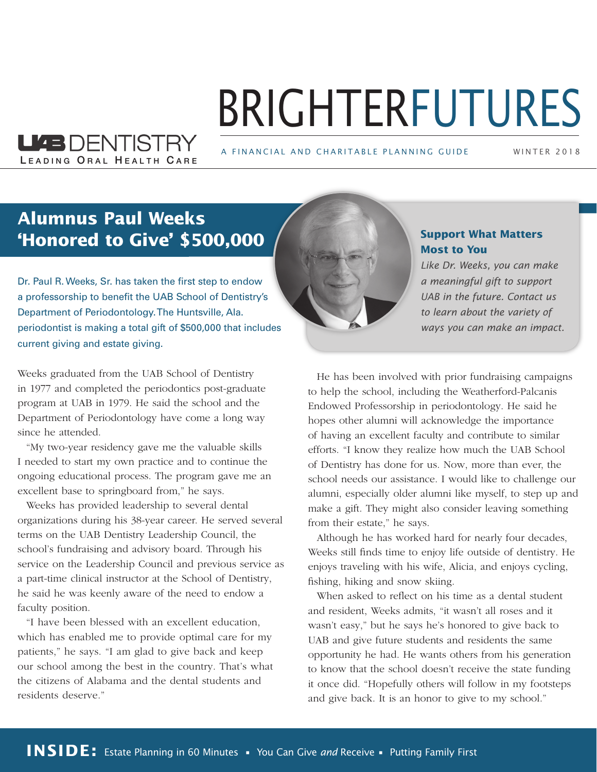# BRIGHTERFUTURES

A FINANCIAL AND CHARITABLE PLANNING GUIDE

WINTER 2 0 1 8

### **Alumnus Paul Weeks 'Honored to Give' \$500,000**

LEADING ORAL HEALTH CARE

**LIEB DENTISTRY** 

Dr. Paul R. Weeks, Sr. has taken the first step to endow a professorship to benefit the UAB School of Dentistry's Department of Periodontology. The Huntsville, Ala. periodontist is making a total gift of \$500,000 that includes current giving and estate giving.

Weeks graduated from the UAB School of Dentistry in 1977 and completed the periodontics post-graduate program at UAB in 1979. He said the school and the Department of Periodontology have come a long way since he attended.

"My two-year residency gave me the valuable skills I needed to start my own practice and to continue the ongoing educational process. The program gave me an excellent base to springboard from," he says.

Weeks has provided leadership to several dental organizations during his 38-year career. He served several terms on the UAB Dentistry Leadership Council, the school's fundraising and advisory board. Through his service on the Leadership Council and previous service as a part-time clinical instructor at the School of Dentistry, he said he was keenly aware of the need to endow a faculty position.

"I have been blessed with an excellent education, which has enabled me to provide optimal care for my patients," he says. "I am glad to give back and keep our school among the best in the country. That's what the citizens of Alabama and the dental students and residents deserve."



### **Support What Matters Most to You**

*Like Dr. Weeks, you can make a meaningful gift to support UAB in the future. Contact us to learn about the variety of ways you can make an impact.*

He has been involved with prior fundraising campaigns to help the school, including the Weatherford-Palcanis Endowed Professorship in periodontology. He said he hopes other alumni will acknowledge the importance of having an excellent faculty and contribute to similar efforts. "I know they realize how much the UAB School of Dentistry has done for us. Now, more than ever, the school needs our assistance. I would like to challenge our alumni, especially older alumni like myself, to step up and make a gift. They might also consider leaving something from their estate," he says.

Although he has worked hard for nearly four decades, Weeks still finds time to enjoy life outside of dentistry. He enjoys traveling with his wife, Alicia, and enjoys cycling, fishing, hiking and snow skiing.

When asked to reflect on his time as a dental student and resident, Weeks admits, "it wasn't all roses and it wasn't easy," but he says he's honored to give back to UAB and give future students and residents the same opportunity he had. He wants others from his generation to know that the school doesn't receive the state funding it once did. "Hopefully others will follow in my footsteps and give back. It is an honor to give to my school."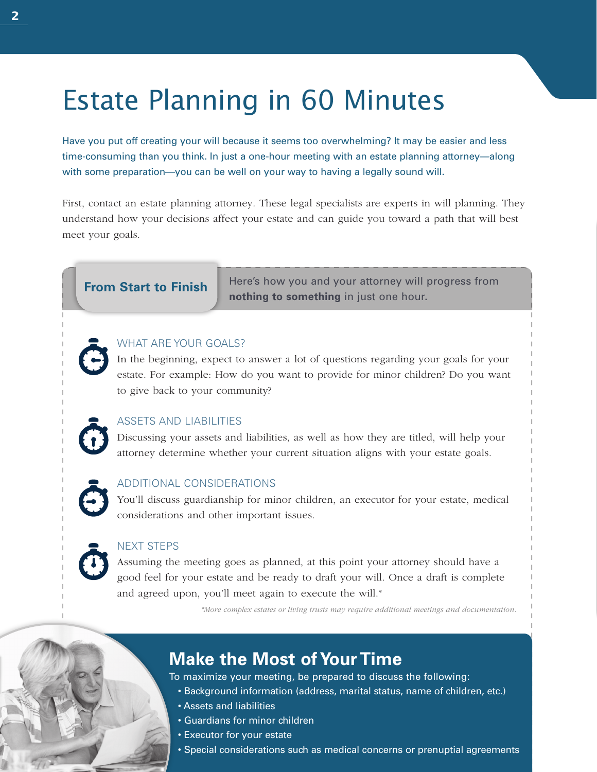# Estate Planning in 60 Minutes

Have you put off creating your will because it seems too overwhelming? It may be easier and less time-consuming than you think. In just a one-hour meeting with an estate planning attorney—along with some preparation—you can be well on your way to having a legally sound will.

First, contact an estate planning attorney. These legal specialists are experts in will planning. They understand how your decisions affect your estate and can guide you toward a path that will best meet your goals.

**From Start to Finish** Here's how you and your attorney will progress from **nothing to something** in just one hour.

#### WHAT ARE YOUR GOALS?

In the beginning, expect to answer a lot of questions regarding your goals for your estate. For example: How do you want to provide for minor children? Do you want to give back to your community?

### ASSETS AND LIABILITIES

Discussing your assets and liabilities, as well as how they are titled, will help your attorney determine whether your current situation aligns with your estate goals.

#### ADDITIONAL CONSIDERATIONS

You'll discuss guardianship for minor children, an executor for your estate, medical considerations and other important issues.

### NEXT STEPS

Assuming the meeting goes as planned, at this point your attorney should have a good feel for your estate and be ready to draft your will. Once a draft is complete and agreed upon, you'll meet again to execute the will.\*

*\*More complex estates or living trusts may require additional meetings and documentation.*

### **Make the Most of Your Time**

To maximize your meeting, be prepared to discuss the following:

- Background information (address, marital status, name of children, etc.)
- Assets and liabilities
- Guardians for minor children
- Executor for your estate
- Special considerations such as medical concerns or prenuptial agreements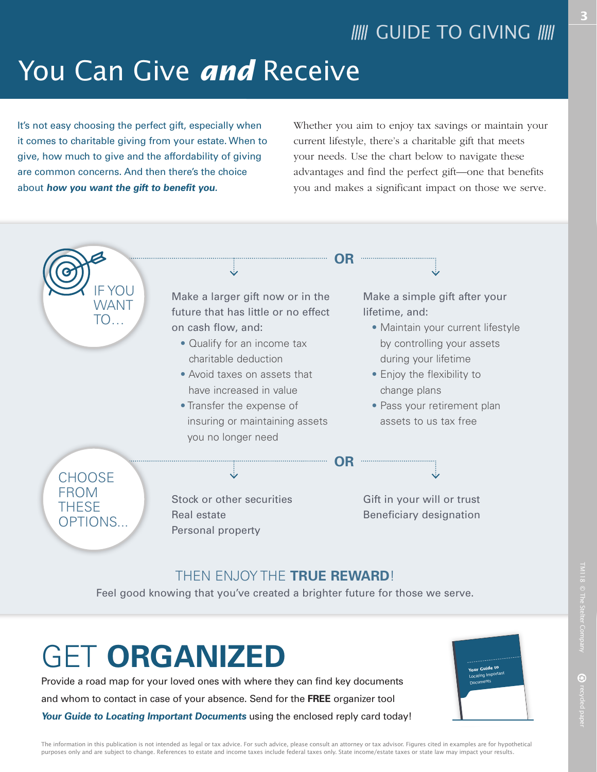# You Can Give *and* Receive

It's not easy choosing the perfect gift, especially when it comes to charitable giving from your estate. When to give, how much to give and the affordability of giving are common concerns. And then there's the choice about **how you want the gift to benefit you.** 

Whether you aim to enjoy tax savings or maintain your current lifestyle, there's a charitable gift that meets your needs. Use the chart below to navigate these advantages and find the perfect gift—one that benefits you and makes a significant impact on those we serve.



### THEN ENJOY THE **TRUE REWARD**!

Feel good knowing that you've created a brighter future for those we serve.

# GET **ORGANIZED**

Provide a road map for your loved ones with where they can find key documents and whom to contact in case of your absence. Send for the **FREE** organizer tool **Your Guide to Locating Important Documents** using the enclosed reply card today!



The information in this publication is not intended as legal or tax advice. For such advice, please consult an attorney or tax advisor. Figures cited in examples are for hypothetical purposes only and are subject to change. References to estate and income taxes include federal taxes only. State income/estate taxes or state law may impact your results.